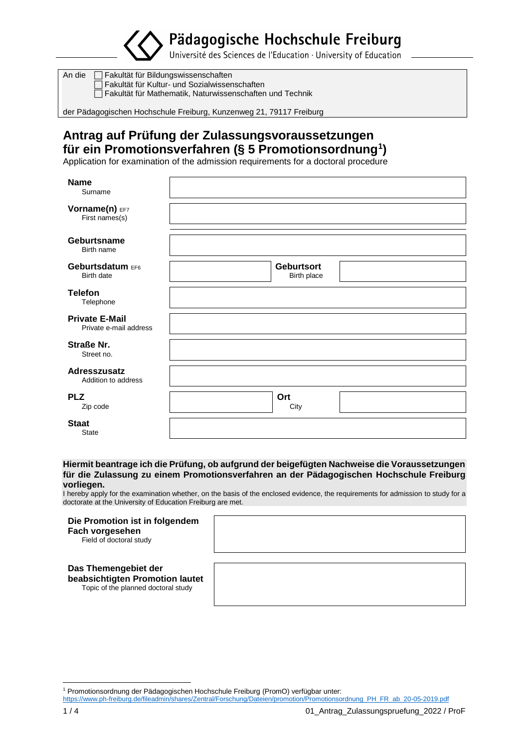Pädagogische Hochschule Freiburg

Université des Sciences de l'Education · University of Education

An die  $\Box$  Fakultät für Bildungswissenschaften Fakultät für Kultur- und Sozialwissenschaften Fakultät für Mathematik, Naturwissenschaften und Technik

der Pädagogischen Hochschule Freiburg, Kunzenweg 21, 79117 Freiburg

# **Antrag auf Prüfung der Zulassungsvoraussetzungen für ein Promotionsverfahren (§ 5 Promotionsordnung<sup>1</sup> )**

Application for examination of the admission requirements for a doctoral procedure

| <b>Name</b><br>Surname                          |                                  |  |
|-------------------------------------------------|----------------------------------|--|
| Vorname(n) EF7<br>First names(s)                |                                  |  |
| <b>Geburtsname</b><br>Birth name                |                                  |  |
| Geburtsdatum EF6<br><b>Birth date</b>           | <b>Geburtsort</b><br>Birth place |  |
| <b>Telefon</b><br>Telephone                     |                                  |  |
| <b>Private E-Mail</b><br>Private e-mail address |                                  |  |
| <b>Straße Nr.</b><br>Street no.                 |                                  |  |
| <b>Adresszusatz</b><br>Addition to address      |                                  |  |
| <b>PLZ</b><br>Zip code                          | Ort<br>City                      |  |
| <b>Staat</b><br><b>State</b>                    |                                  |  |

### **Hiermit beantrage ich die Prüfung, ob aufgrund der beigefügten Nachweise die Voraussetzungen für die Zulassung zu einem Promotionsverfahren an der Pädagogischen Hochschule Freiburg vorliegen.**

I hereby apply for the examination whether, on the basis of the enclosed evidence, the requirements for admission to study for a doctorate at the University of Education Freiburg are met.

### **Die Promotion ist in folgendem Fach vorgesehen**

Field of doctoral study

### **Das Themengebiet der**

**beabsichtigten Promotion lautet**

Topic of the planned doctoral study

[https://www.ph-freiburg.de/fileadmin/shares/Zentral/Forschung/Dateien/promotion/Promotionsordnung\\_PH\\_FR\\_ab\\_20-05-2019.pdf](https://www.ph-freiburg.de/fileadmin/shares/Zentral/Forschung/Dateien/promotion/Promotionsordnung_PH_FR_ab_20-05-2019.pdf)

 $\overline{a}$ <sup>1</sup> Promotionsordnung der Pädagogischen Hochschule Freiburg (PromO) verfügbar unter: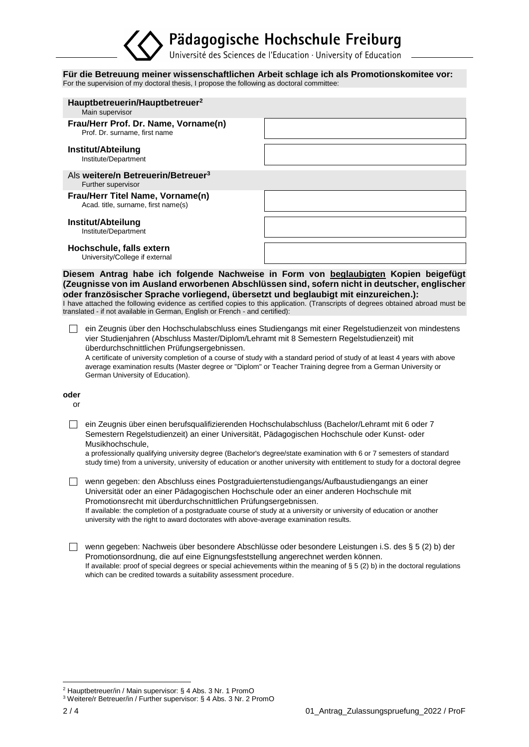# Pädagogische Hochschule Freiburg

Université des Sciences de l'Education · University of Education

#### **Für die Betreuung meiner wissenschaftlichen Arbeit schlage ich als Promotionskomitee vor:** For the supervision of my doctoral thesis, I propose the following as doctoral committee:

| Hauptbetreuerin/Hauptbetreuer <sup>2</sup><br>Main supervisor           |                                                                                                                                                                                     |
|-------------------------------------------------------------------------|-------------------------------------------------------------------------------------------------------------------------------------------------------------------------------------|
| Frau/Herr Prof. Dr. Name, Vorname(n)<br>Prof. Dr. surname, first name   |                                                                                                                                                                                     |
| Institut/Abteilung<br>Institute/Department                              |                                                                                                                                                                                     |
| Als weitere/n Betreuerin/Betreuer <sup>3</sup><br>Further supervisor    |                                                                                                                                                                                     |
| Frau/Herr Titel Name, Vorname(n)<br>Acad. title, surname, first name(s) |                                                                                                                                                                                     |
| Institut/Abteilung<br>Institute/Department                              |                                                                                                                                                                                     |
| Hochschule, falls extern<br>University/College if external              |                                                                                                                                                                                     |
|                                                                         | Diesem Antrag habe ich folgende Nachweise in Form von beglaubigten Kopien beigefügt<br>(Zeugnisse von im Ausland erworbenen Abschlüssen sind, sofern nicht in deutscher, englischer |

**oder französischer Sprache vorliegend, übersetzt und beglaubigt mit einzureichen.):** I have attached the following evidence as certified copies to this application. (Transcripts of degrees obtained abroad must be translated - if not available in German, English or French - and certified):

 ein Zeugnis über den Hochschulabschluss eines Studiengangs mit einer Regelstudienzeit von mindestens vier Studienjahren (Abschluss Master/Diplom/Lehramt mit 8 Semestern Regelstudienzeit) mit überdurchschnittlichen Prüfungsergebnissen.

A certificate of university completion of a course of study with a standard period of study of at least 4 years with above average examination results (Master degree or "Diplom" or Teacher Training degree from a German University or German University of Education).

### **oder**

or

 ein Zeugnis über einen berufsqualifizierenden Hochschulabschluss (Bachelor/Lehramt mit 6 oder 7 Semestern Regelstudienzeit) an einer Universität, Pädagogischen Hochschule oder Kunst- oder Musikhochschule,

a professionally qualifying university degree (Bachelor's degree/state examination with 6 or 7 semesters of standard study time) from a university, university of education or another university with entitlement to study for a doctoral degree

 wenn gegeben: den Abschluss eines Postgraduiertenstudiengangs/Aufbaustudiengangs an einer Universität oder an einer Pädagogischen Hochschule oder an einer anderen Hochschule mit Promotionsrecht mit überdurchschnittlichen Prüfungsergebnissen. If available: the completion of a postgraduate course of study at a university or university of education or another

university with the right to award doctorates with above-average examination results.

 wenn gegeben: Nachweis über besondere Abschlüsse oder besondere Leistungen i.S. des § 5 (2) b) der Promotionsordnung, die auf eine Eignungsfeststellung angerechnet werden können. If available: proof of special degrees or special achievements within the meaning of § 5 (2) b) in the doctoral regulations which can be credited towards a suitability assessment procedure.

 $\overline{a}$ <sup>2</sup> Hauptbetreuer/in / Main supervisor: § 4 Abs. 3 Nr. 1 PromO

<sup>3</sup> Weitere/r Betreuer/in / Further supervisor: § 4 Abs. 3 Nr. 2 PromO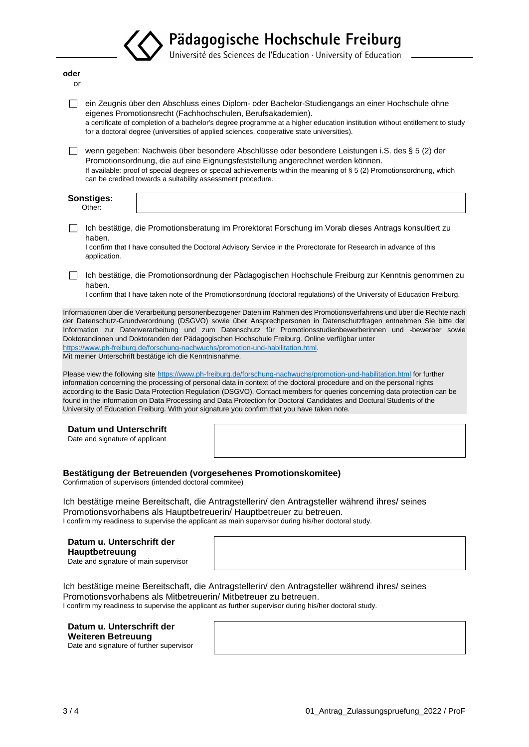|                                                                                                                                                                                                                                            | Pädagogische Hochschule Freiburg<br>Université des Sciences de l'Education · University of Education                                                                                                                                                                                                                                                                                                                                                                                                                                                                                                                                                                                                                    |
|--------------------------------------------------------------------------------------------------------------------------------------------------------------------------------------------------------------------------------------------|-------------------------------------------------------------------------------------------------------------------------------------------------------------------------------------------------------------------------------------------------------------------------------------------------------------------------------------------------------------------------------------------------------------------------------------------------------------------------------------------------------------------------------------------------------------------------------------------------------------------------------------------------------------------------------------------------------------------------|
|                                                                                                                                                                                                                                            |                                                                                                                                                                                                                                                                                                                                                                                                                                                                                                                                                                                                                                                                                                                         |
| oder<br>or                                                                                                                                                                                                                                 |                                                                                                                                                                                                                                                                                                                                                                                                                                                                                                                                                                                                                                                                                                                         |
| eigenes Promotionsrecht (Fachhochschulen, Berufsakademien).                                                                                                                                                                                | ein Zeugnis über den Abschluss eines Diplom- oder Bachelor-Studiengangs an einer Hochschule ohne<br>a certificate of completion of a bachelor's degree programme at a higher education institution without entitlement to study<br>for a doctoral degree (universities of applied sciences, cooperative state universities).                                                                                                                                                                                                                                                                                                                                                                                            |
| can be credited towards a suitability assessment procedure.                                                                                                                                                                                | wenn gegeben: Nachweis über besondere Abschlüsse oder besondere Leistungen i.S. des § 5 (2) der<br>Promotionsordnung, die auf eine Eignungsfeststellung angerechnet werden können.<br>If available: proof of special degrees or special achievements within the meaning of § 5 (2) Promotionsordnung, which                                                                                                                                                                                                                                                                                                                                                                                                             |
| Sonstiges:<br>Other:                                                                                                                                                                                                                       |                                                                                                                                                                                                                                                                                                                                                                                                                                                                                                                                                                                                                                                                                                                         |
| haben.                                                                                                                                                                                                                                     | Ich bestätige, die Promotionsberatung im Prorektorat Forschung im Vorab dieses Antrags konsultiert zu                                                                                                                                                                                                                                                                                                                                                                                                                                                                                                                                                                                                                   |
| application.                                                                                                                                                                                                                               | I confirm that I have consulted the Doctoral Advisory Service in the Prorectorate for Research in advance of this                                                                                                                                                                                                                                                                                                                                                                                                                                                                                                                                                                                                       |
| haben.                                                                                                                                                                                                                                     | Ich bestätige, die Promotionsordnung der Pädagogischen Hochschule Freiburg zur Kenntnis genommen zu<br>I confirm that I have taken note of the Promotionsordnung (doctoral regulations) of the University of Education Freiburg.                                                                                                                                                                                                                                                                                                                                                                                                                                                                                        |
| https://www.ph-freiburg.de/forschung-nachwuchs/promotion-und-habilitation.html.<br>Mit meiner Unterschrift bestätige ich die Kenntnisnahme.<br>University of Education Freiburg. With your signature you confirm that you have taken note. | Information zur Datenverarbeitung und zum Datenschutz für Promotionsstudienbewerberinnen und -bewerber sowie<br>Doktorandinnen und Doktoranden der Pädagogischen Hochschule Freiburg. Online verfügbar unter<br>Please view the following site https://www.ph-freiburg.de/forschung-nachwuchs/promotion-und-habilitation.html for further<br>information concerning the processing of personal data in context of the doctoral procedure and on the personal rights<br>according to the Basic Data Protection Regulation (DSGVO). Contact members for queries concerning data protection can be<br>found in the information on Data Processing and Data Protection for Doctoral Candidates and Doctural Students of the |
| Datum und Unterschrift<br>Date and signature of applicant                                                                                                                                                                                  |                                                                                                                                                                                                                                                                                                                                                                                                                                                                                                                                                                                                                                                                                                                         |
| Bestätigung der Betreuenden (vorgesehenes Promotionskomitee)<br>Confirmation of supervisors (intended doctoral commitee)                                                                                                                   |                                                                                                                                                                                                                                                                                                                                                                                                                                                                                                                                                                                                                                                                                                                         |
| Promotionsvorhabens als Hauptbetreuerin/ Hauptbetreuer zu betreuen.                                                                                                                                                                        | Ich bestätige meine Bereitschaft, die Antragstellerin/ den Antragsteller während ihres/ seines<br>I confirm my readiness to supervise the applicant as main supervisor during his/her doctoral study.                                                                                                                                                                                                                                                                                                                                                                                                                                                                                                                   |
| Datum u. Unterschrift der<br>Hauptbetreuung<br>Date and signature of main supervisor                                                                                                                                                       |                                                                                                                                                                                                                                                                                                                                                                                                                                                                                                                                                                                                                                                                                                                         |
| Promotionsvorhabens als Mitbetreuerin/ Mitbetreuer zu betreuen.                                                                                                                                                                            | Ich bestätige meine Bereitschaft, die Antragstellerin/ den Antragsteller während ihres/ seines<br>I confirm my readiness to supervise the applicant as further supervisor during his/her doctoral study.                                                                                                                                                                                                                                                                                                                                                                                                                                                                                                                |
| Datum u. Unterschrift der<br><b>Weiteren Betreuung</b><br>Date and signature of further supervisor                                                                                                                                         |                                                                                                                                                                                                                                                                                                                                                                                                                                                                                                                                                                                                                                                                                                                         |